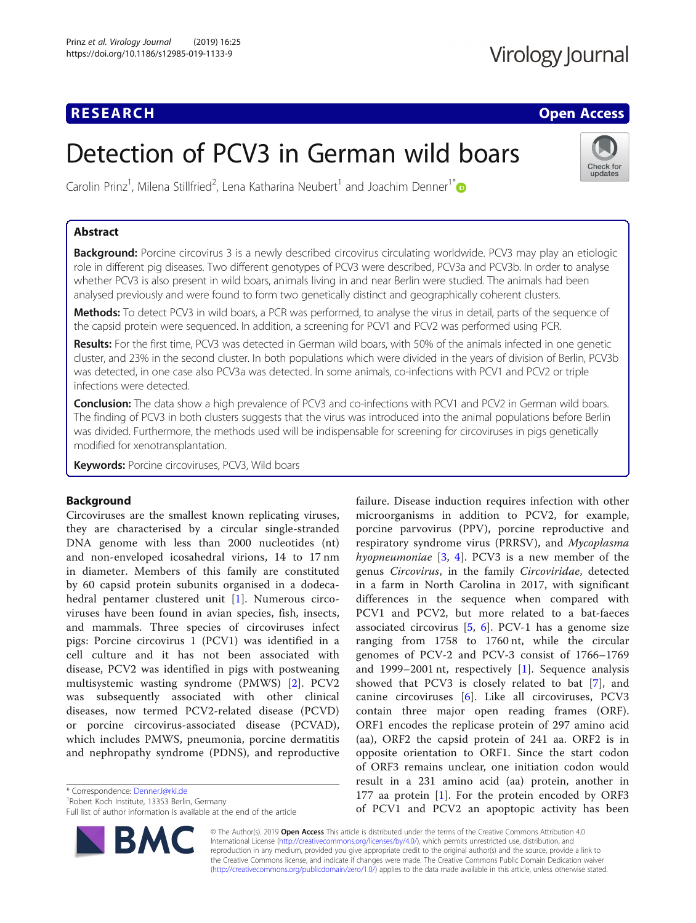### **RESEARCH CHE Open Access**

## Virology Journal

Check for updates

# Detection of PCV3 in German wild boars

Carolin Prinz<sup>1</sup>, Milena Stillfried<sup>2</sup>, Lena Katharina Neubert<sup>1</sup> and Joachim Denner<sup>1[\\*](http://orcid.org/0000-0003-3244-6085)</sup>

### Abstract

Background: Porcine circovirus 3 is a newly described circovirus circulating worldwide. PCV3 may play an etiologic role in different pig diseases. Two different genotypes of PCV3 were described, PCV3a and PCV3b. In order to analyse whether PCV3 is also present in wild boars, animals living in and near Berlin were studied. The animals had been analysed previously and were found to form two genetically distinct and geographically coherent clusters.

Methods: To detect PCV3 in wild boars, a PCR was performed, to analyse the virus in detail, parts of the sequence of the capsid protein were sequenced. In addition, a screening for PCV1 and PCV2 was performed using PCR.

Results: For the first time, PCV3 was detected in German wild boars, with 50% of the animals infected in one genetic cluster, and 23% in the second cluster. In both populations which were divided in the years of division of Berlin, PCV3b was detected, in one case also PCV3a was detected. In some animals, co-infections with PCV1 and PCV2 or triple infections were detected.

Conclusion: The data show a high prevalence of PCV3 and co-infections with PCV1 and PCV2 in German wild boars. The finding of PCV3 in both clusters suggests that the virus was introduced into the animal populations before Berlin was divided. Furthermore, the methods used will be indispensable for screening for circoviruses in pigs genetically modified for xenotransplantation.

Keywords: Porcine circoviruses, PCV3, Wild boars

#### Background

Circoviruses are the smallest known replicating viruses, they are characterised by a circular single-stranded DNA genome with less than 2000 nucleotides (nt) and non-enveloped icosahedral virions, 14 to 17 nm in diameter. Members of this family are constituted by 60 capsid protein subunits organised in a dodecahedral pentamer clustered unit [\[1](#page-5-0)]. Numerous circoviruses have been found in avian species, fish, insects, and mammals. Three species of circoviruses infect pigs: Porcine circovirus 1 (PCV1) was identified in a cell culture and it has not been associated with disease, PCV2 was identified in pigs with postweaning multisystemic wasting syndrome (PMWS) [[2\]](#page-5-0). PCV2 was subsequently associated with other clinical diseases, now termed PCV2-related disease (PCVD) or porcine circovirus-associated disease (PCVAD), which includes PMWS, pneumonia, porcine dermatitis and nephropathy syndrome (PDNS), and reproductive

\* Correspondence: [DennerJ@rki.de](mailto:DennerJ@rki.de) <sup>1</sup>

<sup>1</sup> Robert Koch Institute, 13353 Berlin, Germany

Full list of author information is available at the end of the article



failure. Disease induction requires infection with other microorganisms in addition to PCV2, for example, porcine parvovirus (PPV), porcine reproductive and respiratory syndrome virus (PRRSV), and Mycoplasma hyopneumoniae  $[3, 4]$  $[3, 4]$  $[3, 4]$  $[3, 4]$  $[3, 4]$ . PCV3 is a new member of the genus Circovirus, in the family Circoviridae, detected in a farm in North Carolina in 2017, with significant differences in the sequence when compared with PCV1 and PCV2, but more related to a bat-faeces associated circovirus  $[5, 6]$  $[5, 6]$  $[5, 6]$  $[5, 6]$ . PCV-1 has a genome size ranging from 1758 to 1760 nt, while the circular genomes of PCV-2 and PCV-3 consist of 1766–1769 and 1999–2001 nt, respectively [[1\]](#page-5-0). Sequence analysis showed that PCV3 is closely related to bat [[7\]](#page-5-0), and canine circoviruses [[6\]](#page-5-0). Like all circoviruses, PCV3 contain three major open reading frames (ORF). ORF1 encodes the replicase protein of 297 amino acid (aa), ORF2 the capsid protein of 241 aa. ORF2 is in opposite orientation to ORF1. Since the start codon of ORF3 remains unclear, one initiation codon would result in a 231 amino acid (aa) protein, another in 177 aa protein [\[1](#page-5-0)]. For the protein encoded by ORF3 of PCV1 and PCV2 an apoptopic activity has been

© The Author(s). 2019 **Open Access** This article is distributed under the terms of the Creative Commons Attribution 4.0 International License [\(http://creativecommons.org/licenses/by/4.0/](http://creativecommons.org/licenses/by/4.0/)), which permits unrestricted use, distribution, and reproduction in any medium, provided you give appropriate credit to the original author(s) and the source, provide a link to the Creative Commons license, and indicate if changes were made. The Creative Commons Public Domain Dedication waiver [\(http://creativecommons.org/publicdomain/zero/1.0/](http://creativecommons.org/publicdomain/zero/1.0/)) applies to the data made available in this article, unless otherwise stated.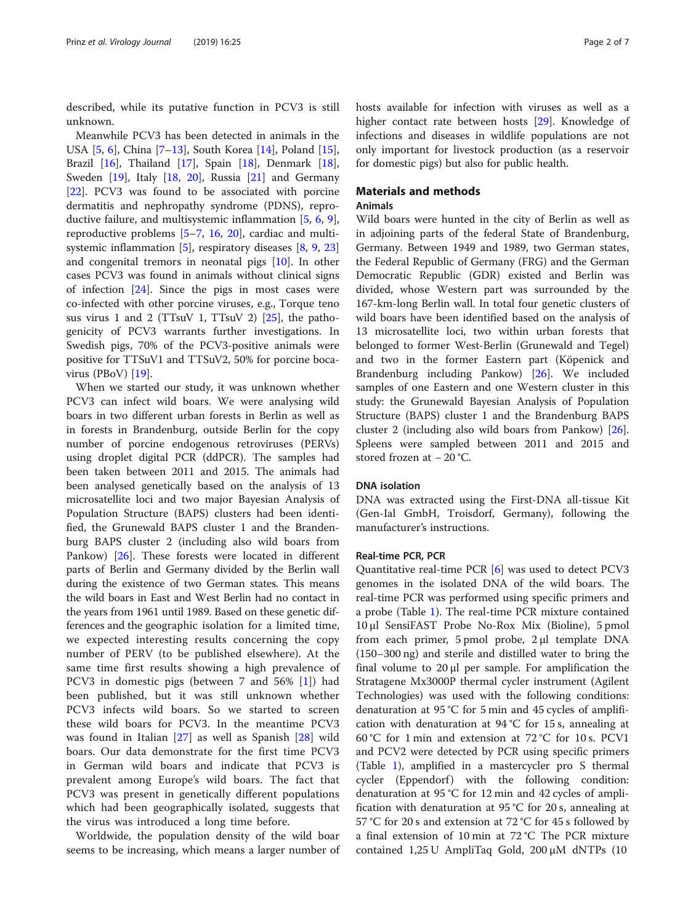described, while its putative function in PCV3 is still unknown.

Meanwhile PCV3 has been detected in animals in the USA [\[5,](#page-5-0) [6](#page-5-0)], China [\[7](#page-5-0)–[13\]](#page-5-0), South Korea [[14](#page-5-0)], Poland [\[15](#page-5-0)], Brazil [[16\]](#page-5-0), Thailand [[17\]](#page-5-0), Spain [\[18](#page-5-0)], Denmark [\[18](#page-5-0)], Sweden [\[19](#page-5-0)], Italy [[18,](#page-5-0) [20\]](#page-5-0), Russia [\[21](#page-5-0)] and Germany [[22\]](#page-6-0). PCV3 was found to be associated with porcine dermatitis and nephropathy syndrome (PDNS), reproductive failure, and multisystemic inflammation [[5,](#page-5-0) [6,](#page-5-0) [9](#page-5-0)], reproductive problems [\[5](#page-5-0)–[7,](#page-5-0) [16,](#page-5-0) [20](#page-5-0)], cardiac and multisystemic inflammation [\[5](#page-5-0)], respiratory diseases [[8](#page-5-0), [9,](#page-5-0) [23](#page-6-0)] and congenital tremors in neonatal pigs [[10\]](#page-5-0). In other cases PCV3 was found in animals without clinical signs of infection [\[24](#page-6-0)]. Since the pigs in most cases were co-infected with other porcine viruses, e.g., Torque teno sus virus 1 and 2 (TTsuV 1, TTsuV 2) [\[25](#page-6-0)], the pathogenicity of PCV3 warrants further investigations. In Swedish pigs, 70% of the PCV3-positive animals were positive for TTSuV1 and TTSuV2, 50% for porcine bocavirus (PBoV) [\[19](#page-5-0)].

When we started our study, it was unknown whether PCV3 can infect wild boars. We were analysing wild boars in two different urban forests in Berlin as well as in forests in Brandenburg, outside Berlin for the copy number of porcine endogenous retroviruses (PERVs) using droplet digital PCR (ddPCR). The samples had been taken between 2011 and 2015. The animals had been analysed genetically based on the analysis of 13 microsatellite loci and two major Bayesian Analysis of Population Structure (BAPS) clusters had been identified, the Grunewald BAPS cluster 1 and the Brandenburg BAPS cluster 2 (including also wild boars from Pankow) [[26](#page-6-0)]. These forests were located in different parts of Berlin and Germany divided by the Berlin wall during the existence of two German states. This means the wild boars in East and West Berlin had no contact in the years from 1961 until 1989. Based on these genetic differences and the geographic isolation for a limited time, we expected interesting results concerning the copy number of PERV (to be published elsewhere). At the same time first results showing a high prevalence of PCV3 in domestic pigs (between 7 and 56% [\[1](#page-5-0)]) had been published, but it was still unknown whether PCV3 infects wild boars. So we started to screen these wild boars for PCV3. In the meantime PCV3 was found in Italian [\[27\]](#page-6-0) as well as Spanish [[28\]](#page-6-0) wild boars. Our data demonstrate for the first time PCV3 in German wild boars and indicate that PCV3 is prevalent among Europe's wild boars. The fact that PCV3 was present in genetically different populations which had been geographically isolated, suggests that the virus was introduced a long time before.

Worldwide, the population density of the wild boar seems to be increasing, which means a larger number of hosts available for infection with viruses as well as a higher contact rate between hosts [\[29\]](#page-6-0). Knowledge of infections and diseases in wildlife populations are not only important for livestock production (as a reservoir for domestic pigs) but also for public health.

### Materials and methods

#### Animals

Wild boars were hunted in the city of Berlin as well as in adjoining parts of the federal State of Brandenburg, Germany. Between 1949 and 1989, two German states, the Federal Republic of Germany (FRG) and the German Democratic Republic (GDR) existed and Berlin was divided, whose Western part was surrounded by the 167-km-long Berlin wall. In total four genetic clusters of wild boars have been identified based on the analysis of 13 microsatellite loci, two within urban forests that belonged to former West-Berlin (Grunewald and Tegel) and two in the former Eastern part (Köpenick and Brandenburg including Pankow) [\[26](#page-6-0)]. We included samples of one Eastern and one Western cluster in this study: the Grunewald Bayesian Analysis of Population Structure (BAPS) cluster 1 and the Brandenburg BAPS cluster 2 (including also wild boars from Pankow) [\[26](#page-6-0)]. Spleens were sampled between 2011 and 2015 and stored frozen at − 20 °C.

#### DNA isolation

DNA was extracted using the First-DNA all-tissue Kit (Gen-Ial GmbH, Troisdorf, Germany), following the manufacturer's instructions.

#### Real-time PCR, PCR

Quantitative real-time PCR [\[6](#page-5-0)] was used to detect PCV3 genomes in the isolated DNA of the wild boars. The real-time PCR was performed using specific primers and a probe (Table [1\)](#page-2-0). The real-time PCR mixture contained 10 μl SensiFAST Probe No-Rox Mix (Bioline), 5 pmol from each primer, 5 pmol probe, 2 μl template DNA (150–300 ng) and sterile and distilled water to bring the final volume to 20 μl per sample. For amplification the Stratagene Mx3000P thermal cycler instrument (Agilent Technologies) was used with the following conditions: denaturation at 95 °C for 5 min and 45 cycles of amplification with denaturation at 94 °C for 15 s, annealing at 60 °C for 1 min and extension at 72 °C for 10 s. PCV1 and PCV2 were detected by PCR using specific primers (Table [1\)](#page-2-0), amplified in a mastercycler pro S thermal cycler (Eppendorf) with the following condition: denaturation at 95 °C for 12 min and 42 cycles of amplification with denaturation at 95 °C for 20 s, annealing at 57 °C for 20 s and extension at 72 °C for 45 s followed by a final extension of 10 min at 72 °C The PCR mixture contained 1,25 U AmpliTaq Gold, 200 μM dNTPs (10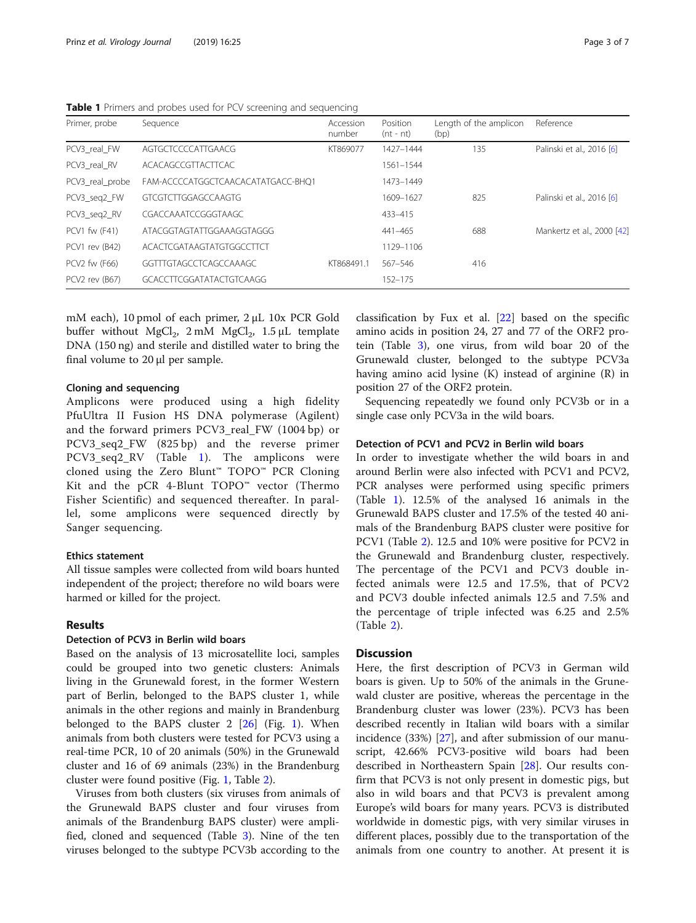| Primer, probe   | Sequence                           | Accession<br>number | Position<br>$(nt - nt)$ | Length of the amplicon<br>(bp) | Reference                  |
|-----------------|------------------------------------|---------------------|-------------------------|--------------------------------|----------------------------|
| PCV3 real FW    | AGTGCTCCCCATTGAACG                 | KT869077            | 1427-1444               | 135                            | Palinski et al., 2016 [6]  |
| PCV3 real RV    | ACACAGCCGTTACTTCAC                 |                     | 1561-1544               |                                |                            |
| PCV3_real_probe | FAM-ACCCCATGGCTCAACACATATGACC-BHO1 |                     | 1473-1449               |                                |                            |
| PCV3_seq2_FW    | GTCGTCTTGGAGCCAAGTG                |                     | 1609-1627               | 825                            | Palinski et al., 2016 [6]  |
| PCV3_seq2_RV    | CGACCAAATCCGGGTAAGC                |                     | 433-415                 |                                |                            |
| PCV1 fw (F41)   | ATACGGTAGTATTGGAAAGGTAGGG          |                     | 441-465                 | 688                            | Mankertz et al., 2000 [42] |
| PCV1 rev (B42)  | ACACTCGATAAGTATGTGGCCTTCT          |                     | 1129-1106               |                                |                            |
| PCV2 fw (F66)   | GGTTTGTAGCCTCAGCCAAAGC             | KT868491.1          | 567-546                 | 416                            |                            |
| PCV2 rev (B67)  | GCACCTTCGGATATACTGTCAAGG           |                     | $152 - 175$             |                                |                            |

<span id="page-2-0"></span>Table 1 Primers and probes used for PCV screening and sequencing

mM each), 10 pmol of each primer, 2 μL 10x PCR Gold buffer without MgCl<sub>2</sub>, 2 mM MgCl<sub>2</sub>, 1.5  $\mu$ L template DNA (150 ng) and sterile and distilled water to bring the final volume to 20 μl per sample.

#### Cloning and sequencing

Amplicons were produced using a high fidelity PfuUltra II Fusion HS DNA polymerase (Agilent) and the forward primers PCV3\_real\_FW (1004 bp) or PCV3\_seq2\_FW (825 bp) and the reverse primer PCV3\_seq2\_RV (Table 1). The amplicons were cloned using the Zero Blunt™ TOPO™ PCR Cloning Kit and the pCR 4-Blunt  $TOPO<sup>m</sup>$  vector (Thermo Fisher Scientific) and sequenced thereafter. In parallel, some amplicons were sequenced directly by Sanger sequencing.

#### Ethics statement

All tissue samples were collected from wild boars hunted independent of the project; therefore no wild boars were harmed or killed for the project.

#### Results

#### Detection of PCV3 in Berlin wild boars

Based on the analysis of 13 microsatellite loci, samples could be grouped into two genetic clusters: Animals living in the Grunewald forest, in the former Western part of Berlin, belonged to the BAPS cluster 1, while animals in the other regions and mainly in Brandenburg belonged to the BAPS cluster  $2$   $[26]$  $[26]$  $[26]$  (Fig. [1](#page-3-0)). When animals from both clusters were tested for PCV3 using a real-time PCR, 10 of 20 animals (50%) in the Grunewald cluster and 16 of 69 animals (23%) in the Brandenburg cluster were found positive (Fig. [1,](#page-3-0) Table [2](#page-3-0)).

Viruses from both clusters (six viruses from animals of the Grunewald BAPS cluster and four viruses from animals of the Brandenburg BAPS cluster) were amplified, cloned and sequenced (Table [3\)](#page-4-0). Nine of the ten viruses belonged to the subtype PCV3b according to the

classification by Fux et al. [[22\]](#page-6-0) based on the specific amino acids in position 24, 27 and 77 of the ORF2 protein (Table [3](#page-4-0)), one virus, from wild boar 20 of the Grunewald cluster, belonged to the subtype PCV3a having amino acid lysine (K) instead of arginine (R) in position 27 of the ORF2 protein.

Sequencing repeatedly we found only PCV3b or in a single case only PCV3a in the wild boars.

#### Detection of PCV1 and PCV2 in Berlin wild boars

In order to investigate whether the wild boars in and around Berlin were also infected with PCV1 and PCV2, PCR analyses were performed using specific primers (Table 1). 12.5% of the analysed 16 animals in the Grunewald BAPS cluster and 17.5% of the tested 40 animals of the Brandenburg BAPS cluster were positive for PCV1 (Table [2](#page-3-0)). 12.5 and 10% were positive for PCV2 in the Grunewald and Brandenburg cluster, respectively. The percentage of the PCV1 and PCV3 double infected animals were 12.5 and 17.5%, that of PCV2 and PCV3 double infected animals 12.5 and 7.5% and the percentage of triple infected was 6.25 and 2.5% (Table [2\)](#page-3-0).

#### **Discussion**

Here, the first description of PCV3 in German wild boars is given. Up to 50% of the animals in the Grunewald cluster are positive, whereas the percentage in the Brandenburg cluster was lower (23%). PCV3 has been described recently in Italian wild boars with a similar incidence (33%) [\[27\]](#page-6-0), and after submission of our manuscript, 42.66% PCV3-positive wild boars had been described in Northeastern Spain [[28](#page-6-0)]. Our results confirm that PCV3 is not only present in domestic pigs, but also in wild boars and that PCV3 is prevalent among Europe's wild boars for many years. PCV3 is distributed worldwide in domestic pigs, with very similar viruses in different places, possibly due to the transportation of the animals from one country to another. At present it is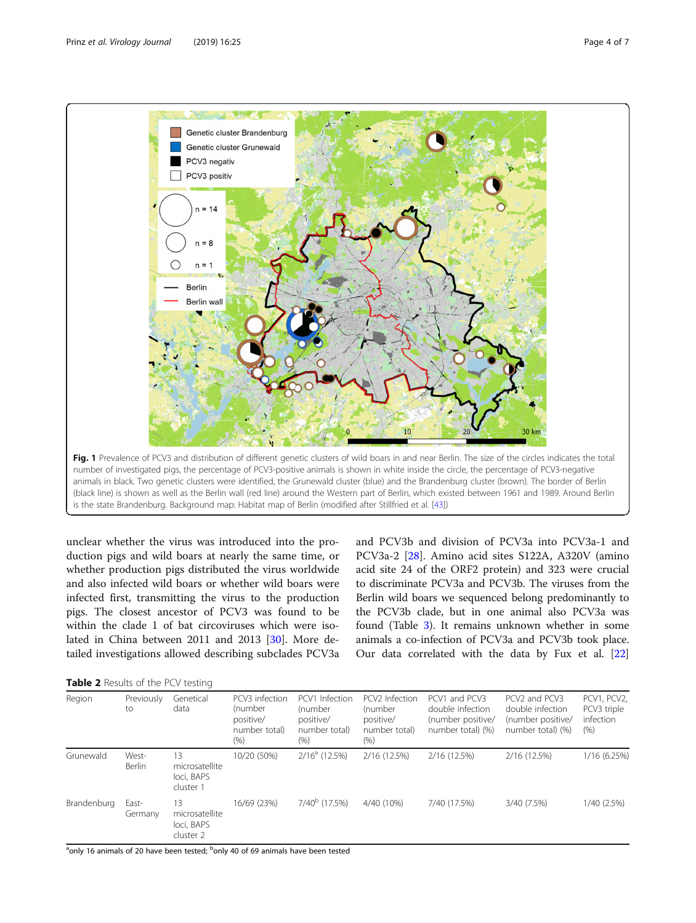<span id="page-3-0"></span>

unclear whether the virus was introduced into the production pigs and wild boars at nearly the same time, or whether production pigs distributed the virus worldwide and also infected wild boars or whether wild boars were infected first, transmitting the virus to the production pigs. The closest ancestor of PCV3 was found to be within the clade 1 of bat circoviruses which were isolated in China between 2011 and 2013 [[30\]](#page-6-0). More detailed investigations allowed describing subclades PCV3a and PCV3b and division of PCV3a into PCV3a-1 and PCV3a-2 [\[28](#page-6-0)]. Amino acid sites S122A, A320V (amino acid site 24 of the ORF2 protein) and 323 were crucial to discriminate PCV3a and PCV3b. The viruses from the Berlin wild boars we sequenced belong predominantly to the PCV3b clade, but in one animal also PCV3a was found (Table [3](#page-4-0)). It remains unknown whether in some animals a co-infection of PCV3a and PCV3b took place. Our data correlated with the data by Fux et al. [[22](#page-6-0)]

| Table 2 Results of the PCV testing |  |  |  |  |
|------------------------------------|--|--|--|--|
|------------------------------------|--|--|--|--|

| Region      | Previously<br>to       | Genetical<br>data                               | PCV3 infection<br>(number<br>positive/<br>number total)<br>$(\% )$ | PCV1 Infection<br>(number<br>positive/<br>number total)<br>(%) | PCV2 Infection<br>(number<br>positive/<br>number total)<br>$(\% )$ | PCV1 and PCV3<br>double infection<br>(number positive/<br>number total) (%) | PCV2 and PCV3<br>double infection<br>(number positive/<br>number total) (%) | PCV1, PCV2,<br>PCV3 triple<br>infection<br>(% ) |
|-------------|------------------------|-------------------------------------------------|--------------------------------------------------------------------|----------------------------------------------------------------|--------------------------------------------------------------------|-----------------------------------------------------------------------------|-----------------------------------------------------------------------------|-------------------------------------------------|
| Grunewald   | West-<br><b>Berlin</b> | 13<br>microsatellite<br>loci, BAPS<br>cluster 1 | 10/20 (50%)                                                        | $2/16^a$ (12.5%)                                               | 2/16 (12.5%)                                                       | 2/16 (12.5%)                                                                | 2/16 (12.5%)                                                                | 1/16 (6.25%)                                    |
| Brandenburg | East-<br>Germany       | 13<br>microsatellite<br>loci, BAPS<br>cluster 2 | 16/69 (23%)                                                        | $7/40^b$ (17.5%)                                               | 4/40 (10%)                                                         | 7/40 (17.5%)                                                                | 3/40 (7.5%)                                                                 | 1/40 (2.5%)                                     |

<sup>a</sup>only 16 animals of 20 have been tested; <sup>b</sup>only 40 of 69 animals have been tested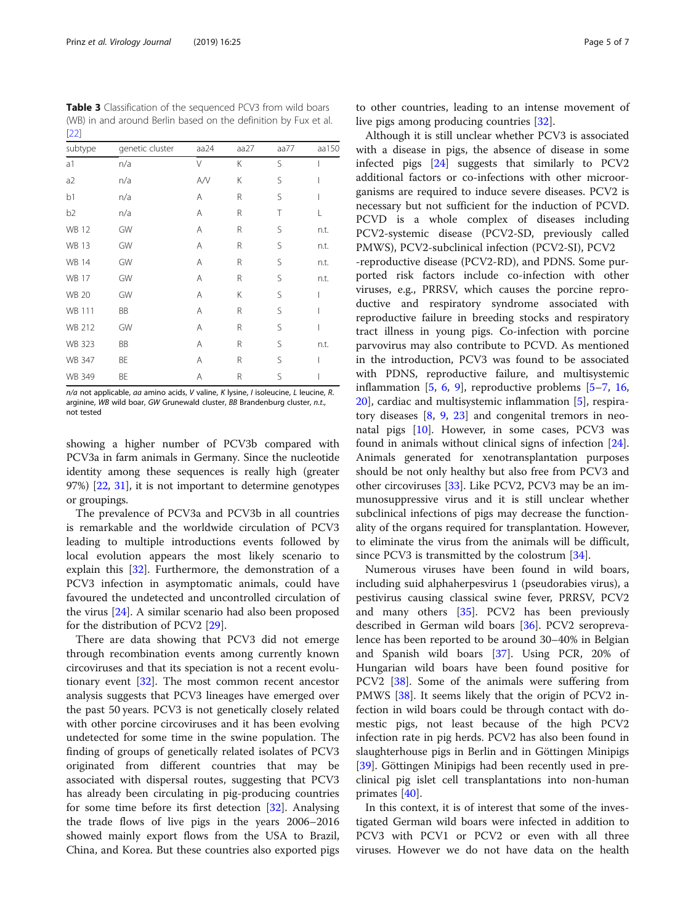<span id="page-4-0"></span>Table 3 Classification of the sequenced PCV3 from wild boars (WB) in and around Berlin based on the definition by Fux et al.  $[22]$ 

| subtype        | genetic cluster | aa24 | aa $27$ | aa77 | aa150 |
|----------------|-----------------|------|---------|------|-------|
| a1             | n/a             | V    | К       | S    |       |
| a2             | n/a             | A/V  | Κ       | S    |       |
| b1             | n/a             | Α    | R       | S    | I     |
| b <sub>2</sub> | n/a             | Α    | R       | T    | L     |
| <b>WB 12</b>   | GW              | Α    | R       | S    | n.t.  |
| <b>WB 13</b>   | GW              | Α    | R       | S    | n.t.  |
| <b>WB 14</b>   | GW              | Α    | R       | S    | n.t.  |
| <b>WB 17</b>   | GW              | Α    | R       | S    | n.t.  |
| <b>WB 20</b>   | GW              | Α    | Κ       | S    | I     |
| WB 111         | BB              | Α    | R       | S    | I     |
| WB 212         | GW              | Α    | R       | S    | I     |
| <b>WB 323</b>  | BB              | Α    | R       | S    | n.t.  |
| WB 347         | ΒE              | A    | R       | S    |       |
| WB 349         | ΒE              | Α    | R       | S    |       |

 $n/a$  not applicable, aa amino acids, V valine, K lysine, I isoleucine, L leucine, R. arginine, WB wild boar, GW Grunewald cluster, BB Brandenburg cluster, n.t., not tested

showing a higher number of PCV3b compared with PCV3a in farm animals in Germany. Since the nucleotide identity among these sequences is really high (greater 97%) [[22](#page-6-0), [31](#page-6-0)], it is not important to determine genotypes or groupings.

The prevalence of PCV3a and PCV3b in all countries is remarkable and the worldwide circulation of PCV3 leading to multiple introductions events followed by local evolution appears the most likely scenario to explain this [\[32](#page-6-0)]. Furthermore, the demonstration of a PCV3 infection in asymptomatic animals, could have favoured the undetected and uncontrolled circulation of the virus [[24](#page-6-0)]. A similar scenario had also been proposed for the distribution of PCV2 [[29\]](#page-6-0).

There are data showing that PCV3 did not emerge through recombination events among currently known circoviruses and that its speciation is not a recent evolutionary event [[32\]](#page-6-0). The most common recent ancestor analysis suggests that PCV3 lineages have emerged over the past 50 years. PCV3 is not genetically closely related with other porcine circoviruses and it has been evolving undetected for some time in the swine population. The finding of groups of genetically related isolates of PCV3 originated from different countries that may be associated with dispersal routes, suggesting that PCV3 has already been circulating in pig-producing countries for some time before its first detection [[32\]](#page-6-0). Analysing the trade flows of live pigs in the years 2006–2016 showed mainly export flows from the USA to Brazil, China, and Korea. But these countries also exported pigs

to other countries, leading to an intense movement of live pigs among producing countries [\[32\]](#page-6-0).

Although it is still unclear whether PCV3 is associated with a disease in pigs, the absence of disease in some infected pigs [[24](#page-6-0)] suggests that similarly to PCV2 additional factors or co-infections with other microorganisms are required to induce severe diseases. PCV2 is necessary but not sufficient for the induction of PCVD. PCVD is a whole complex of diseases including PCV2-systemic disease (PCV2-SD, previously called PMWS), PCV2-subclinical infection (PCV2-SI), PCV2 -reproductive disease (PCV2-RD), and PDNS. Some purported risk factors include co-infection with other viruses, e.g., PRRSV, which causes the porcine reproductive and respiratory syndrome associated with reproductive failure in breeding stocks and respiratory tract illness in young pigs. Co-infection with porcine parvovirus may also contribute to PCVD. As mentioned in the introduction, PCV3 was found to be associated with PDNS, reproductive failure, and multisystemic inflammation [[5,](#page-5-0) [6,](#page-5-0) [9](#page-5-0)], reproductive problems [[5](#page-5-0)–[7](#page-5-0), [16](#page-5-0), [20\]](#page-5-0), cardiac and multisystemic inflammation [[5\]](#page-5-0), respiratory diseases [\[8](#page-5-0), [9,](#page-5-0) [23\]](#page-6-0) and congenital tremors in neonatal pigs [\[10](#page-5-0)]. However, in some cases, PCV3 was found in animals without clinical signs of infection [\[24](#page-6-0)]. Animals generated for xenotransplantation purposes should be not only healthy but also free from PCV3 and other circoviruses [[33\]](#page-6-0). Like PCV2, PCV3 may be an immunosuppressive virus and it is still unclear whether subclinical infections of pigs may decrease the functionality of the organs required for transplantation. However, to eliminate the virus from the animals will be difficult, since PCV3 is transmitted by the colostrum [[34](#page-6-0)].

Numerous viruses have been found in wild boars, including suid alphaherpesvirus 1 (pseudorabies virus), a pestivirus causing classical swine fever, PRRSV, PCV2 and many others [[35\]](#page-6-0). PCV2 has been previously described in German wild boars [[36\]](#page-6-0). PCV2 seroprevalence has been reported to be around 30–40% in Belgian and Spanish wild boars [\[37](#page-6-0)]. Using PCR, 20% of Hungarian wild boars have been found positive for PCV2 [\[38](#page-6-0)]. Some of the animals were suffering from PMWS [\[38\]](#page-6-0). It seems likely that the origin of PCV2 infection in wild boars could be through contact with domestic pigs, not least because of the high PCV2 infection rate in pig herds. PCV2 has also been found in slaughterhouse pigs in Berlin and in Göttingen Minipigs [[39\]](#page-6-0). Göttingen Minipigs had been recently used in preclinical pig islet cell transplantations into non-human primates [\[40](#page-6-0)].

In this context, it is of interest that some of the investigated German wild boars were infected in addition to PCV3 with PCV1 or PCV2 or even with all three viruses. However we do not have data on the health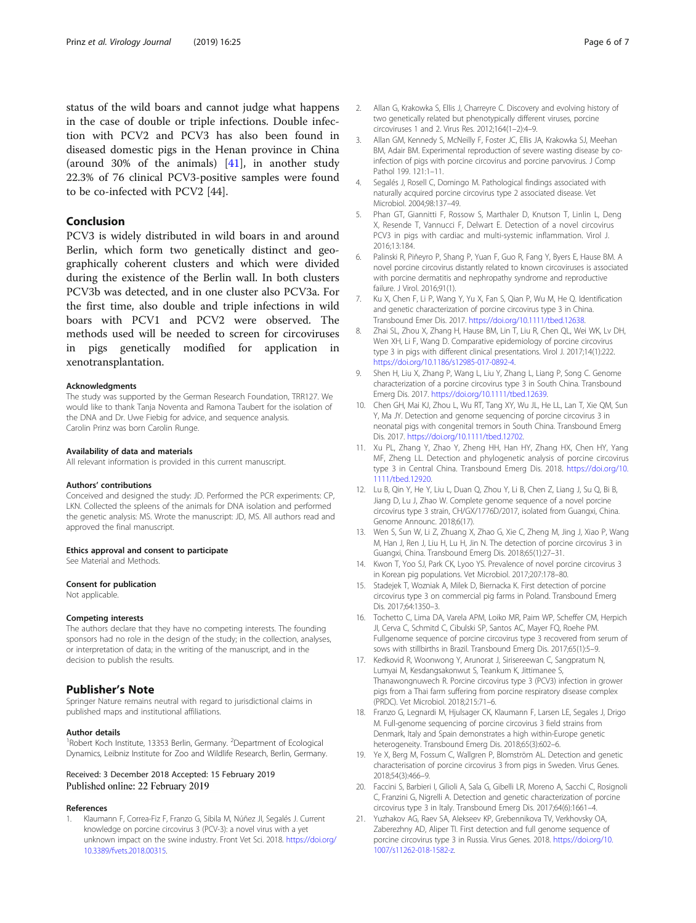<span id="page-5-0"></span>status of the wild boars and cannot judge what happens in the case of double or triple infections. Double infection with PCV2 and PCV3 has also been found in diseased domestic pigs in the Henan province in China (around 30% of the animals) [\[41](#page-6-0)], in another study 22.3% of 76 clinical PCV3-positive samples were found to be co-infected with PCV2 [44].

#### Conclusion

PCV3 is widely distributed in wild boars in and around Berlin, which form two genetically distinct and geographically coherent clusters and which were divided during the existence of the Berlin wall. In both clusters PCV3b was detected, and in one cluster also PCV3a. For the first time, also double and triple infections in wild boars with PCV1 and PCV2 were observed. The methods used will be needed to screen for circoviruses in pigs genetically modified for application in xenotransplantation.

#### Acknowledgments

The study was supported by the German Research Foundation, TRR127. We would like to thank Tanja Noventa and Ramona Taubert for the isolation of the DNA and Dr. Uwe Fiebig for advice, and sequence analysis. Carolin Prinz was born Carolin Runge.

#### Availability of data and materials

All relevant information is provided in this current manuscript.

#### Authors' contributions

Conceived and designed the study: JD. Performed the PCR experiments: CP, LKN. Collected the spleens of the animals for DNA isolation and performed the genetic analysis: MS. Wrote the manuscript: JD, MS. All authors read and approved the final manuscript.

#### Ethics approval and consent to participate

See Material and Methods.

#### Consent for publication

Not applicable.

#### Competing interests

The authors declare that they have no competing interests. The founding sponsors had no role in the design of the study; in the collection, analyses, or interpretation of data; in the writing of the manuscript, and in the decision to publish the results.

#### Publisher's Note

Springer Nature remains neutral with regard to jurisdictional claims in published maps and institutional affiliations.

#### Author details

<sup>1</sup>Robert Koch Institute, 13353 Berlin, Germany. <sup>2</sup>Department of Ecological Dynamics, Leibniz Institute for Zoo and Wildlife Research, Berlin, Germany.

#### Received: 3 December 2018 Accepted: 15 February 2019 Published online: 22 February 2019

#### References

1. Klaumann F, Correa-Fiz F, Franzo G, Sibila M, Núñez JI, Segalés J. Current knowledge on porcine circovirus 3 (PCV-3): a novel virus with a yet unknown impact on the swine industry. Front Vet Sci. 2018. [https://doi.org/](https://doi.org/10.3389/fvets.2018.00315) [10.3389/fvets.2018.00315](https://doi.org/10.3389/fvets.2018.00315).

- 2. Allan G, Krakowka S, Ellis J, Charreyre C. Discovery and evolving history of two genetically related but phenotypically different viruses, porcine circoviruses 1 and 2. Virus Res. 2012;164(1–2):4–9.
- 3. Allan GM, Kennedy S, McNeilly F, Foster JC, Ellis JA, Krakowka SJ, Meehan BM, Adair BM. Experimental reproduction of severe wasting disease by coinfection of pigs with porcine circovirus and porcine parvovirus. J Comp Pathol 199. 121:1–11.
- 4. Segalés J, Rosell C, Domingo M. Pathological findings associated with naturally acquired porcine circovirus type 2 associated disease. Vet Microbiol. 2004;98:137–49.
- 5. Phan GT, Giannitti F, Rossow S, Marthaler D, Knutson T, Linlin L, Deng X, Resende T, Vannucci F, Delwart E. Detection of a novel circovirus PCV3 in pigs with cardiac and multi-systemic inflammation. Virol J. 2016;13:184.
- 6. Palinski R, Piñeyro P, Shang P, Yuan F, Guo R, Fang Y, Byers E, Hause BM. A novel porcine circovirus distantly related to known circoviruses is associated with porcine dermatitis and nephropathy syndrome and reproductive failure. J Virol. 2016;91(1).
- 7. Ku X, Chen F, Li P, Wang Y, Yu X, Fan S, Qian P, Wu M, He Q. Identification and genetic characterization of porcine circovirus type 3 in China. Transbound Emer Dis. 2017. <https://doi.org/10.1111/tbed.12638>.
- 8. Zhai SL, Zhou X, Zhang H, Hause BM, Lin T, Liu R, Chen QL, Wei WK, Lv DH, Wen XH, Li F, Wang D. Comparative epidemiology of porcine circovirus type 3 in pigs with different clinical presentations. Virol J. 2017;14(1):222. <https://doi.org/10.1186/s12985-017-0892-4>.
- 9. Shen H, Liu X, Zhang P, Wang L, Liu Y, Zhang L, Liang P, Song C. Genome characterization of a porcine circovirus type 3 in South China. Transbound Emerg Dis. 2017. <https://doi.org/10.1111/tbed.12639>.
- 10. Chen GH, Mai KJ, Zhou L, Wu RT, Tang XY, Wu JL, He LL, Lan T, Xie QM, Sun Y, Ma JY. Detection and genome sequencing of porcine circovirus 3 in neonatal pigs with congenital tremors in South China. Transbound Emerg Dis. 2017. <https://doi.org/10.1111/tbed.12702>.
- 11. Xu PL, Zhang Y, Zhao Y, Zheng HH, Han HY, Zhang HX, Chen HY, Yang MF, Zheng LL. Detection and phylogenetic analysis of porcine circovirus type 3 in Central China. Transbound Emerg Dis. 2018. [https://doi.org/10.](https://doi.org/10.1111/tbed.12920) [1111/tbed.12920.](https://doi.org/10.1111/tbed.12920)
- 12. Lu B, Qin Y, He Y, Liu L, Duan Q, Zhou Y, Li B, Chen Z, Liang J, Su Q, Bi B, Jiang D, Lu J, Zhao W. Complete genome sequence of a novel porcine circovirus type 3 strain, CH/GX/1776D/2017, isolated from Guangxi, China. Genome Announc. 2018;6(17).
- 13. Wen S, Sun W, Li Z, Zhuang X, Zhao G, Xie C, Zheng M, Jing J, Xiao P, Wang M, Han J, Ren J, Liu H, Lu H, Jin N. The detection of porcine circovirus 3 in Guangxi, China. Transbound Emerg Dis. 2018;65(1):27–31.
- 14. Kwon T, Yoo SJ, Park CK, Lyoo YS. Prevalence of novel porcine circovirus 3 in Korean pig populations. Vet Microbiol. 2017;207:178–80.
- 15. Stadejek T, Wozniak A, Milek D, Biernacka K. First detection of porcine circovirus type 3 on commercial pig farms in Poland. Transbound Emerg Dis. 2017;64:1350–3.
- 16. Tochetto C, Lima DA, Varela APM, Loiko MR, Paim WP, Scheffer CM, Herpich JI, Cerva C, Schmitd C, Cibulski SP, Santos AC, Mayer FQ, Roehe PM. Fullgenome sequence of porcine circovirus type 3 recovered from serum of sows with stillbirths in Brazil. Transbound Emerg Dis. 2017;65(1):5–9.
- 17. Kedkovid R, Woonwong Y, Arunorat J, Sirisereewan C, Sangpratum N, Lumyai M, Kesdangsakonwut S, Teankum K, Jittimanee S, Thanawongnuwech R. Porcine circovirus type 3 (PCV3) infection in grower pigs from a Thai farm suffering from porcine respiratory disease complex (PRDC). Vet Microbiol. 2018;215:71–6.
- 18. Franzo G, Legnardi M, Hjulsager CK, Klaumann F, Larsen LE, Segales J, Drigo M. Full-genome sequencing of porcine circovirus 3 field strains from Denmark, Italy and Spain demonstrates a high within-Europe genetic heterogeneity. Transbound Emerg Dis. 2018;65(3):602–6.
- 19. Ye X, Berg M, Fossum C, Wallgren P, Blomström AL. Detection and genetic characterisation of porcine circovirus 3 from pigs in Sweden. Virus Genes. 2018;54(3):466–9.
- 20. Faccini S, Barbieri I, Gilioli A, Sala G, Gibelli LR, Moreno A, Sacchi C, Rosignoli C, Franzini G, Nigrelli A. Detection and genetic characterization of porcine circovirus type 3 in Italy. Transbound Emerg Dis. 2017;64(6):1661–4.
- 21. Yuzhakov AG, Raev SA, Alekseev KP, Grebennikova TV, Verkhovsky OA, Zaberezhny AD, Aliper TI. First detection and full genome sequence of porcine circovirus type 3 in Russia. Virus Genes. 2018. [https://doi.org/10.](https://doi.org/10.1007/s11262-018-1582-z) [1007/s11262-018-1582-z](https://doi.org/10.1007/s11262-018-1582-z).